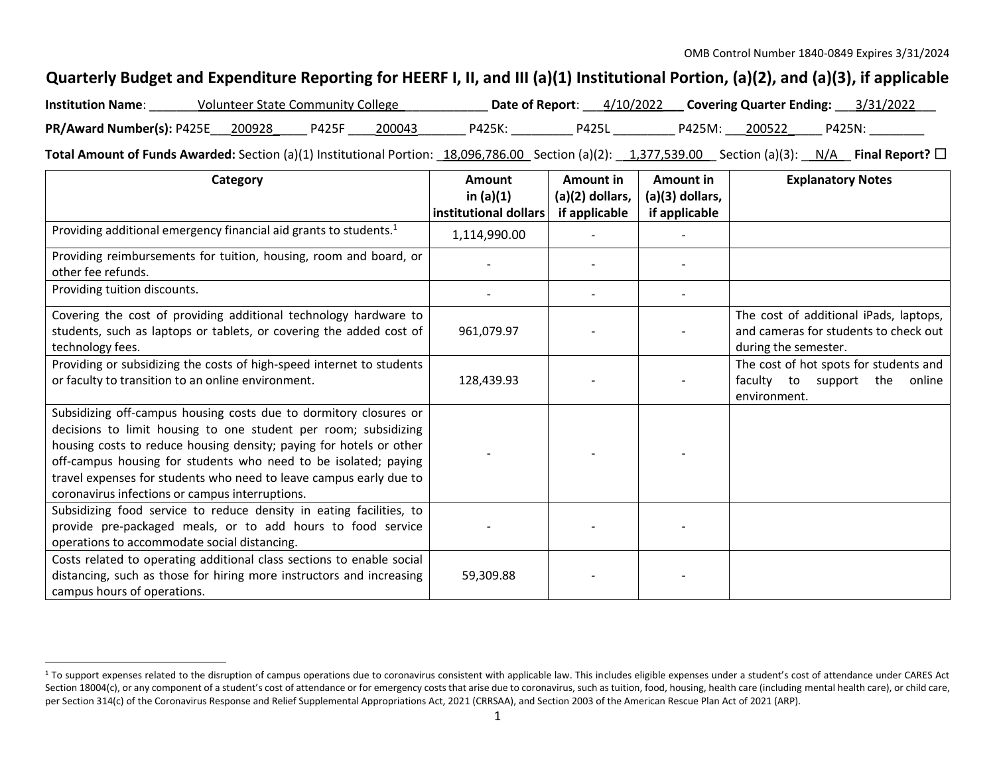## **Quarterly Budget and Expenditure Reporting for HEERF I, II, and III (a)(1) Institutional Portion, (a)(2), and (a)(3), if applicable**

| <b>Institution Name:</b>         | <b>Volunteer State Community College</b> |              |        |        | Date of Report: 4/10/2022 Covering Quarter Ending: 3/31/2022 |        |        |        |
|----------------------------------|------------------------------------------|--------------|--------|--------|--------------------------------------------------------------|--------|--------|--------|
| PR/Award Number(s): P425E 200928 |                                          | <b>P425F</b> | 200043 | P425K: | <b>P425L</b>                                                 | P425M: | 200522 | P425N: |

**Total Amount of Funds Awarded:** Section (a)(1) Institutional Portion: 18,096,786.00 Section (a)(2): 1,377,539.00 Section (a)(3): N/A Final Report? □

| Category                                                                                                                                                                                                                                                                                                                                                                                                | <b>Amount</b><br>in $(a)(1)$ | Amount in<br>(a)(2) dollars, | Amount in<br>(a)(3) dollars, | <b>Explanatory Notes</b>                                                                                |
|---------------------------------------------------------------------------------------------------------------------------------------------------------------------------------------------------------------------------------------------------------------------------------------------------------------------------------------------------------------------------------------------------------|------------------------------|------------------------------|------------------------------|---------------------------------------------------------------------------------------------------------|
|                                                                                                                                                                                                                                                                                                                                                                                                         | institutional dollars        | if applicable                | if applicable                |                                                                                                         |
| Providing additional emergency financial aid grants to students. <sup>1</sup>                                                                                                                                                                                                                                                                                                                           | 1,114,990.00                 |                              |                              |                                                                                                         |
| Providing reimbursements for tuition, housing, room and board, or<br>other fee refunds.                                                                                                                                                                                                                                                                                                                 |                              |                              |                              |                                                                                                         |
| Providing tuition discounts.                                                                                                                                                                                                                                                                                                                                                                            |                              |                              |                              |                                                                                                         |
| Covering the cost of providing additional technology hardware to<br>students, such as laptops or tablets, or covering the added cost of<br>technology fees.                                                                                                                                                                                                                                             | 961,079.97                   |                              |                              | The cost of additional iPads, laptops,<br>and cameras for students to check out<br>during the semester. |
| Providing or subsidizing the costs of high-speed internet to students<br>or faculty to transition to an online environment.                                                                                                                                                                                                                                                                             | 128,439.93                   |                              |                              | The cost of hot spots for students and<br>the<br>faculty to<br>support<br>online<br>environment.        |
| Subsidizing off-campus housing costs due to dormitory closures or<br>decisions to limit housing to one student per room; subsidizing<br>housing costs to reduce housing density; paying for hotels or other<br>off-campus housing for students who need to be isolated; paying<br>travel expenses for students who need to leave campus early due to<br>coronavirus infections or campus interruptions. |                              |                              |                              |                                                                                                         |
| Subsidizing food service to reduce density in eating facilities, to<br>provide pre-packaged meals, or to add hours to food service<br>operations to accommodate social distancing.                                                                                                                                                                                                                      |                              |                              |                              |                                                                                                         |
| Costs related to operating additional class sections to enable social<br>distancing, such as those for hiring more instructors and increasing<br>campus hours of operations.                                                                                                                                                                                                                            | 59,309.88                    |                              |                              |                                                                                                         |

<sup>&</sup>lt;sup>1</sup> To support expenses related to the disruption of campus operations due to coronavirus consistent with applicable law. This includes eligible expenses under a student's cost of attendance under CARES Act Section 18004(c), or any component of a student's cost of attendance or for emergency costs that arise due to coronavirus, such as tuition, food, housing, health care (including mental health care), or child care, per Section 314(c) of the Coronavirus Response and Relief Supplemental Appropriations Act, 2021 (CRRSAA), and Section 2003 of the American Rescue Plan Act of 2021 (ARP).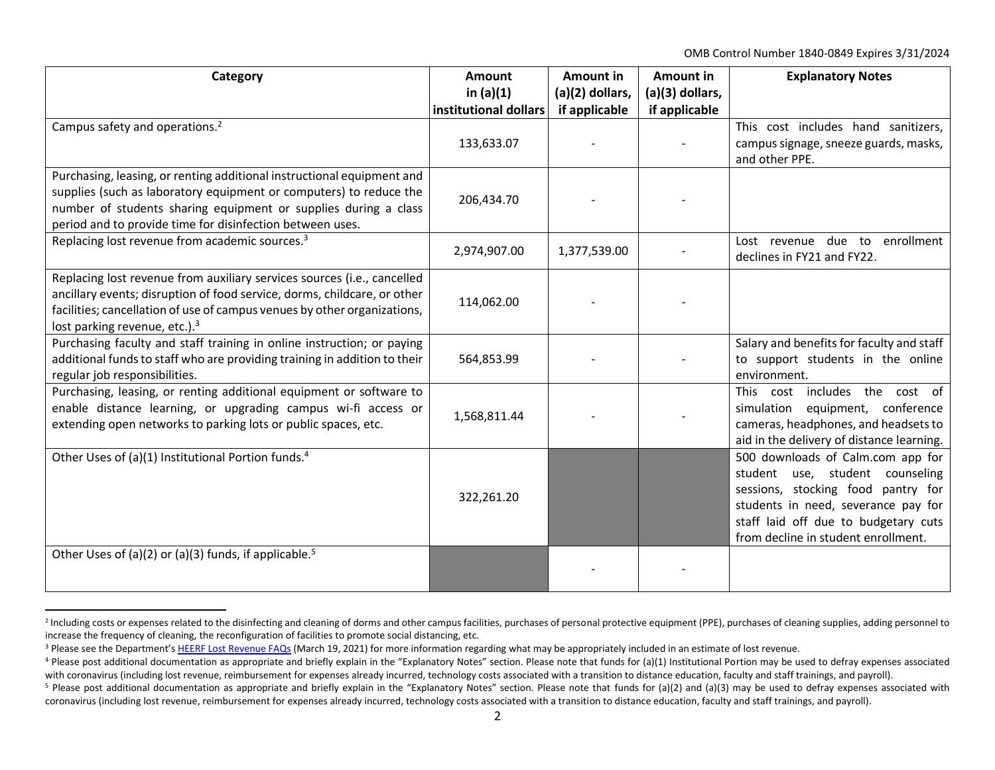OMB Control Number 1840-0849 Expires 3/31/2024

| Category                                                                                                                                                                                                                                                                     | Amount<br>in $(a)(1)$ | <b>Amount in</b><br>(a)(2) dollars, | <b>Amount in</b><br>(a)(3) dollars, | <b>Explanatory Notes</b>                                                                                                                                                                                                         |
|------------------------------------------------------------------------------------------------------------------------------------------------------------------------------------------------------------------------------------------------------------------------------|-----------------------|-------------------------------------|-------------------------------------|----------------------------------------------------------------------------------------------------------------------------------------------------------------------------------------------------------------------------------|
|                                                                                                                                                                                                                                                                              | institutional dollars | if applicable                       | if applicable                       |                                                                                                                                                                                                                                  |
| Campus safety and operations. <sup>2</sup>                                                                                                                                                                                                                                   |                       |                                     |                                     | This cost includes hand sanitizers,                                                                                                                                                                                              |
|                                                                                                                                                                                                                                                                              | 133,633.07            |                                     |                                     | campus signage, sneeze guards, masks,<br>and other PPE.                                                                                                                                                                          |
| Purchasing, leasing, or renting additional instructional equipment and<br>supplies (such as laboratory equipment or computers) to reduce the<br>number of students sharing equipment or supplies during a class<br>period and to provide time for disinfection between uses. | 206,434.70            |                                     |                                     |                                                                                                                                                                                                                                  |
| Replacing lost revenue from academic sources. <sup>3</sup>                                                                                                                                                                                                                   | 2,974,907.00          | 1,377,539.00                        |                                     | Lost revenue due to enrollment<br>declines in FY21 and FY22.                                                                                                                                                                     |
| Replacing lost revenue from auxiliary services sources (i.e., cancelled<br>ancillary events; disruption of food service, dorms, childcare, or other<br>facilities; cancellation of use of campus venues by other organizations,<br>lost parking revenue, etc.). <sup>3</sup> | 114,062.00            |                                     |                                     |                                                                                                                                                                                                                                  |
| Purchasing faculty and staff training in online instruction; or paying<br>additional funds to staff who are providing training in addition to their<br>regular job responsibilities.                                                                                         | 564,853.99            |                                     |                                     | Salary and benefits for faculty and staff<br>to support students in the online<br>environment.                                                                                                                                   |
| Purchasing, leasing, or renting additional equipment or software to<br>enable distance learning, or upgrading campus wi-fi access or<br>extending open networks to parking lots or public spaces, etc.                                                                       | 1,568,811.44          |                                     |                                     | This cost includes the cost of<br>simulation equipment, conference<br>cameras, headphones, and headsets to<br>aid in the delivery of distance learning.                                                                          |
| Other Uses of (a)(1) Institutional Portion funds. <sup>4</sup>                                                                                                                                                                                                               | 322,261.20            |                                     |                                     | 500 downloads of Calm.com app for<br>student use, student counseling<br>sessions, stocking food pantry for<br>students in need, severance pay for<br>staff laid off due to budgetary cuts<br>from decline in student enrollment. |
| Other Uses of (a)(2) or (a)(3) funds, if applicable. <sup>5</sup>                                                                                                                                                                                                            |                       |                                     |                                     |                                                                                                                                                                                                                                  |

<sup>&</sup>lt;sup>2</sup> Including costs or expenses related to the disinfecting and cleaning of dorms and other campus facilities, purchases of personal protective equipment (PPE), purchases of cleaning supplies, adding personnel to increase the frequency of cleaning, the reconfiguration of facilities to promote social distancing, etc.

<sup>&</sup>lt;sup>3</sup> Please see the Department's [HEERF Lost Revenue FAQs](https://www2.ed.gov/about/offices/list/ope/heerflostrevenuefaqs.pdf) (March 19, 2021) for more information regarding what may be appropriately included in an estimate of lost revenue.

<sup>&</sup>lt;sup>4</sup> Please post additional documentation as appropriate and briefly explain in the "Explanatory Notes" section. Please note that funds for (a)(1) Institutional Portion may be used to defray expenses associated with coronavirus (including lost revenue, reimbursement for expenses already incurred, technology costs associated with a transition to distance education, faculty and staff trainings, and payroll).

<sup>&</sup>lt;sup>5</sup> Please post additional documentation as appropriate and briefly explain in the "Explanatory Notes" section. Please note that funds for (a)(2) and (a)(3) may be used to defray expenses associated with coronavirus (including lost revenue, reimbursement for expenses already incurred, technology costs associated with a transition to distance education, faculty and staff trainings, and payroll).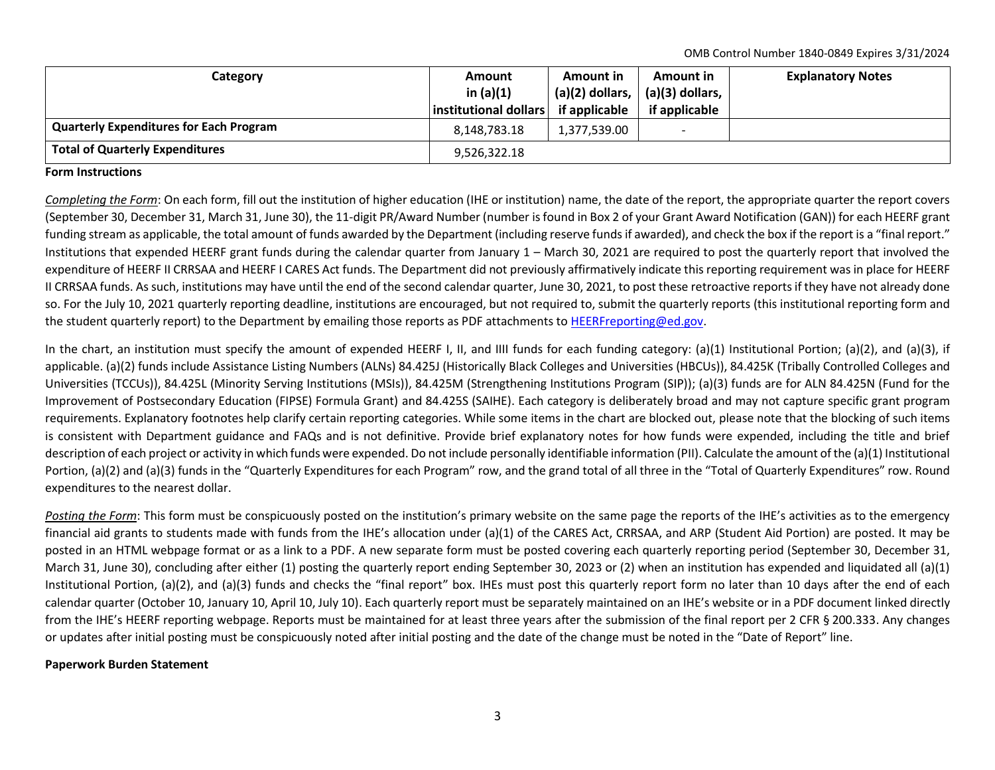OMB Control Number 1840-0849 Expires 3/31/2024

| Category                                       | <b>Amount</b><br>in $(a)(1)$<br>institutional dollars | Amount in<br>$(a)(2)$ dollars, $\vert$<br>if applicable | Amount in<br>(a)(3) dollars,<br>if applicable | <b>Explanatory Notes</b> |
|------------------------------------------------|-------------------------------------------------------|---------------------------------------------------------|-----------------------------------------------|--------------------------|
| <b>Quarterly Expenditures for Each Program</b> | 8,148,783.18                                          | 1,377,539.00                                            | $\overline{\phantom{a}}$                      |                          |
| <b>Total of Quarterly Expenditures</b>         | 9,526,322.18                                          |                                                         |                                               |                          |

## **Form Instructions**

*Completing the Form*: On each form, fill out the institution of higher education (IHE or institution) name, the date of the report, the appropriate quarter the report covers (September 30, December 31, March 31, June 30), the 11-digit PR/Award Number (number is found in Box 2 of your Grant Award Notification (GAN)) for each HEERF grant funding stream as applicable, the total amount of funds awarded by the Department (including reserve funds if awarded), and check the box if the report is a "final report." Institutions that expended HEERF grant funds during the calendar quarter from January 1 – March 30, 2021 are required to post the quarterly report that involved the expenditure of HEERF II CRRSAA and HEERF I CARES Act funds. The Department did not previously affirmatively indicate this reporting requirement was in place for HEERF II CRRSAA funds. As such, institutions may have until the end of the second calendar quarter, June 30, 2021, to post these retroactive reports if they have not already done so. For the July 10, 2021 quarterly reporting deadline, institutions are encouraged, but not required to, submit the quarterly reports (this institutional reporting form and the student quarterly report) to the Department by emailing those reports as PDF attachments to [HEERFreporting@ed.gov.](mailto:HEERFreporting@ed.gov)

In the chart, an institution must specify the amount of expended HEERF I, II, and IIII funds for each funding category: (a)(1) Institutional Portion; (a)(2), and (a)(3), if applicable. (a)(2) funds include Assistance Listing Numbers (ALNs) 84.425J (Historically Black Colleges and Universities (HBCUs)), 84.425K (Tribally Controlled Colleges and Universities (TCCUs)), 84.425L (Minority Serving Institutions (MSIs)), 84.425M (Strengthening Institutions Program (SIP)); (a)(3) funds are for ALN 84.425N (Fund for the Improvement of Postsecondary Education (FIPSE) Formula Grant) and 84.425S (SAIHE). Each category is deliberately broad and may not capture specific grant program requirements. Explanatory footnotes help clarify certain reporting categories. While some items in the chart are blocked out, please note that the blocking of such items is consistent with Department guidance and FAQs and is not definitive. Provide brief explanatory notes for how funds were expended, including the title and brief description of each project or activity in which funds were expended. Do not include personally identifiable information (PII). Calculate the amount of the (a)(1) Institutional Portion, (a)(2) and (a)(3) funds in the "Quarterly Expenditures for each Program" row, and the grand total of all three in the "Total of Quarterly Expenditures" row. Round expenditures to the nearest dollar.

*Posting the Form*: This form must be conspicuously posted on the institution's primary website on the same page the reports of the IHE's activities as to the emergency financial aid grants to students made with funds from the IHE's allocation under (a)(1) of the CARES Act, CRRSAA, and ARP (Student Aid Portion) are posted. It may be posted in an HTML webpage format or as a link to a PDF. A new separate form must be posted covering each quarterly reporting period (September 30, December 31, March 31, June 30), concluding after either (1) posting the quarterly report ending September 30, 2023 or (2) when an institution has expended and liquidated all (a)(1) Institutional Portion, (a)(2), and (a)(3) funds and checks the "final report" box. IHEs must post this quarterly report form no later than 10 days after the end of each calendar quarter (October 10, January 10, April 10, July 10). Each quarterly report must be separately maintained on an IHE's website or in a PDF document linked directly from the IHE's HEERF reporting webpage. Reports must be maintained for at least three years after the submission of the final report per 2 CFR § 200.333. Any changes or updates after initial posting must be conspicuously noted after initial posting and the date of the change must be noted in the "Date of Report" line.

## **Paperwork Burden Statement**